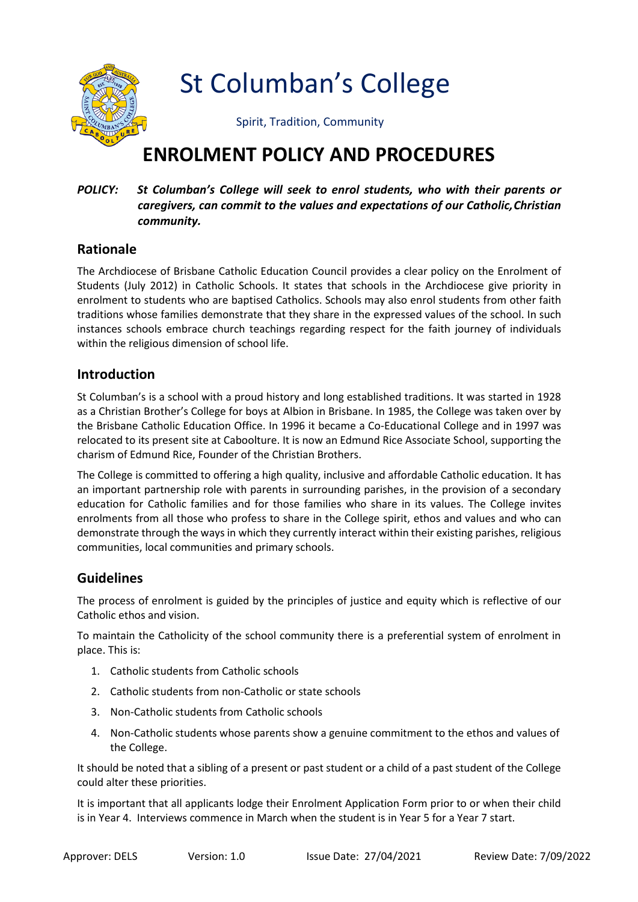

St Columban's College

Spirit, Tradition, Community

# **ENROLMENT POLICY AND PROCEDURES**

#### *POLICY: St Columban's College will seek to enrol students, who with their parents or caregivers, can commit to the values and expectations of our Catholic,Christian community.*

#### **Rationale**

The Archdiocese of Brisbane Catholic Education Council provides a clear policy on the Enrolment of Students (July 2012) in Catholic Schools. It states that schools in the Archdiocese give priority in enrolment to students who are baptised Catholics. Schools may also enrol students from other faith traditions whose families demonstrate that they share in the expressed values of the school. In such instances schools embrace church teachings regarding respect for the faith journey of individuals within the religious dimension of school life.

### **Introduction**

St Columban's is a school with a proud history and long established traditions. It was started in 1928 as a Christian Brother's College for boys at Albion in Brisbane. In 1985, the College was taken over by the Brisbane Catholic Education Office. In 1996 it became a Co-Educational College and in 1997 was relocated to its present site at Caboolture. It is now an Edmund Rice Associate School, supporting the charism of Edmund Rice, Founder of the Christian Brothers.

The College is committed to offering a high quality, inclusive and affordable Catholic education. It has an important partnership role with parents in surrounding parishes, in the provision of a secondary education for Catholic families and for those families who share in its values. The College invites enrolments from all those who profess to share in the College spirit, ethos and values and who can demonstrate through the ways in which they currently interact within their existing parishes, religious communities, local communities and primary schools.

#### **Guidelines**

The process of enrolment is guided by the principles of justice and equity which is reflective of our Catholic ethos and vision.

To maintain the Catholicity of the school community there is a preferential system of enrolment in place. This is:

- 1. Catholic students from Catholic schools
- 2. Catholic students from non-Catholic or state schools
- 3. Non-Catholic students from Catholic schools
- 4. Non-Catholic students whose parents show a genuine commitment to the ethos and values of the College.

It should be noted that a sibling of a present or past student or a child of a past student of the College could alter these priorities.

It is important that all applicants lodge their Enrolment Application Form prior to or when their child is in Year 4. Interviews commence in March when the student is in Year 5 for a Year 7 start.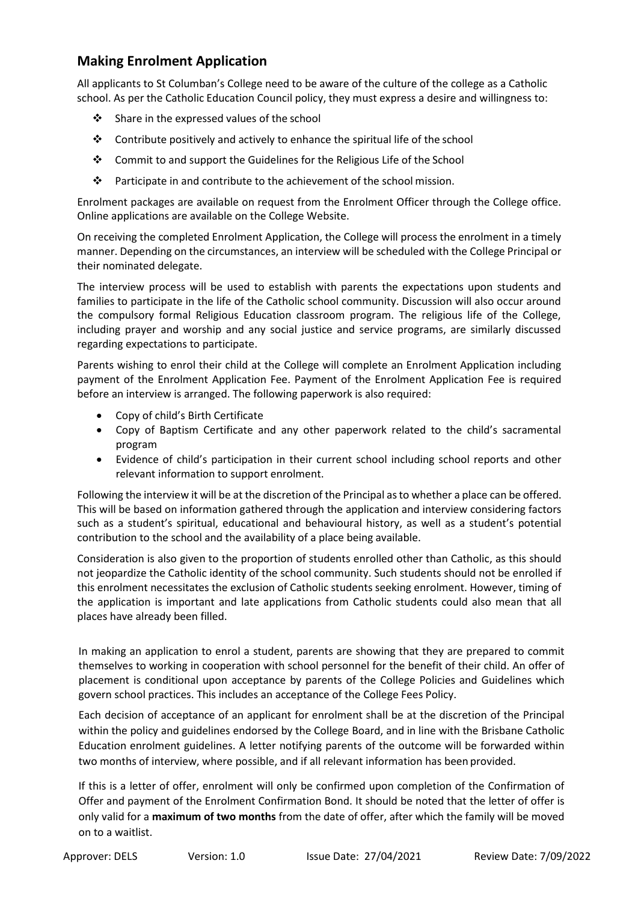## **Making Enrolment Application**

All applicants to St Columban's College need to be aware of the culture of the college as a Catholic school. As per the Catholic Education Council policy, they must express a desire and willingness to:

- $\div$  Share in the expressed values of the school
- $\div$  Contribute positively and actively to enhance the spiritual life of the school
- $\div$  Commit to and support the Guidelines for the Religious Life of the School
- Participate in and contribute to the achievement of the school mission.

Enrolment packages are available on request from the Enrolment Officer through the College office. Online applications are available on the College Website.

On receiving the completed Enrolment Application, the College will process the enrolment in a timely manner. Depending on the circumstances, an interview will be scheduled with the College Principal or their nominated delegate.

The interview process will be used to establish with parents the expectations upon students and families to participate in the life of the Catholic school community. Discussion will also occur around the compulsory formal Religious Education classroom program. The religious life of the College, including prayer and worship and any social justice and service programs, are similarly discussed regarding expectations to participate.

Parents wishing to enrol their child at the College will complete an Enrolment Application including payment of the Enrolment Application Fee. Payment of the Enrolment Application Fee is required before an interview is arranged. The following paperwork is also required:

- Copy of child's Birth Certificate
- Copy of Baptism Certificate and any other paperwork related to the child's sacramental program
- Evidence of child's participation in their current school including school reports and other relevant information to support enrolment.

Following the interview it will be at the discretion of the Principal asto whether a place can be offered. This will be based on information gathered through the application and interview considering factors such as a student's spiritual, educational and behavioural history, as well as a student's potential contribution to the school and the availability of a place being available.

Consideration is also given to the proportion of students enrolled other than Catholic, as this should not jeopardize the Catholic identity of the school community. Such students should not be enrolled if this enrolment necessitates the exclusion of Catholic students seeking enrolment. However, timing of the application is important and late applications from Catholic students could also mean that all places have already been filled.

In making an application to enrol a student, parents are showing that they are prepared to commit themselves to working in cooperation with school personnel for the benefit of their child. An offer of placement is conditional upon acceptance by parents of the College Policies and Guidelines which govern school practices. This includes an acceptance of the College Fees Policy.

Each decision of acceptance of an applicant for enrolment shall be at the discretion of the Principal within the policy and guidelines endorsed by the College Board, and in line with the Brisbane Catholic Education enrolment guidelines. A letter notifying parents of the outcome will be forwarded within two months of interview, where possible, and if all relevant information has been provided.

If this is a letter of offer, enrolment will only be confirmed upon completion of the Confirmation of Offer and payment of the Enrolment Confirmation Bond. It should be noted that the letter of offer is only valid for a **maximum of two months** from the date of offer, after which the family will be moved on to a waitlist.